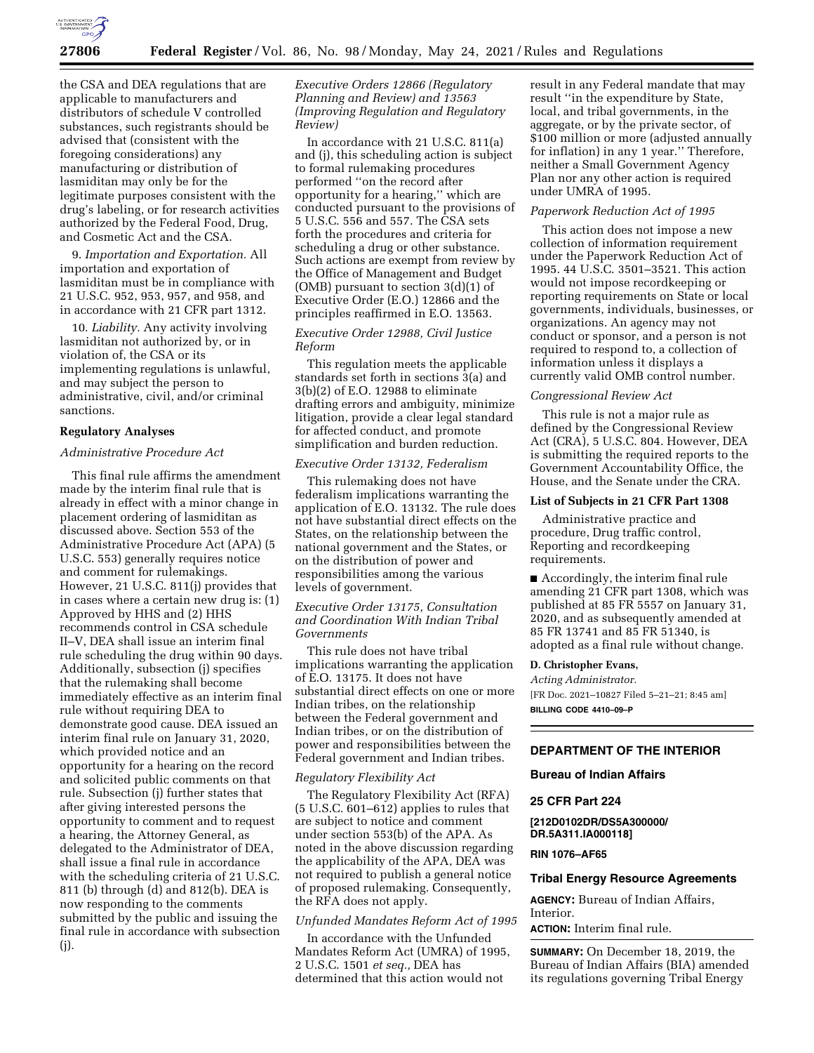

the CSA and DEA regulations that are applicable to manufacturers and distributors of schedule V controlled substances, such registrants should be advised that (consistent with the foregoing considerations) any manufacturing or distribution of lasmiditan may only be for the legitimate purposes consistent with the drug's labeling, or for research activities authorized by the Federal Food, Drug, and Cosmetic Act and the CSA.

9. *Importation and Exportation.* All importation and exportation of lasmiditan must be in compliance with 21 U.S.C. 952, 953, 957, and 958, and in accordance with 21 CFR part 1312.

10. *Liability.* Any activity involving lasmiditan not authorized by, or in violation of, the CSA or its implementing regulations is unlawful, and may subject the person to administrative, civil, and/or criminal sanctions.

#### **Regulatory Analyses**

## *Administrative Procedure Act*

This final rule affirms the amendment made by the interim final rule that is already in effect with a minor change in placement ordering of lasmiditan as discussed above. Section 553 of the Administrative Procedure Act (APA) (5 U.S.C. 553) generally requires notice and comment for rulemakings. However, 21 U.S.C. 811(j) provides that in cases where a certain new drug is: (1) Approved by HHS and (2) HHS recommends control in CSA schedule II–V, DEA shall issue an interim final rule scheduling the drug within 90 days. Additionally, subsection (j) specifies that the rulemaking shall become immediately effective as an interim final rule without requiring DEA to demonstrate good cause. DEA issued an interim final rule on January 31, 2020, which provided notice and an opportunity for a hearing on the record and solicited public comments on that rule. Subsection (j) further states that after giving interested persons the opportunity to comment and to request a hearing, the Attorney General, as delegated to the Administrator of DEA, shall issue a final rule in accordance with the scheduling criteria of 21 U.S.C. 811 (b) through (d) and 812(b). DEA is now responding to the comments submitted by the public and issuing the final rule in accordance with subsection (j).

## *Executive Orders 12866 (Regulatory Planning and Review) and 13563 (Improving Regulation and Regulatory Review)*

In accordance with 21 U.S.C. 811(a) and (j), this scheduling action is subject to formal rulemaking procedures performed ''on the record after opportunity for a hearing,'' which are conducted pursuant to the provisions of 5 U.S.C. 556 and 557. The CSA sets forth the procedures and criteria for scheduling a drug or other substance. Such actions are exempt from review by the Office of Management and Budget (OMB) pursuant to section 3(d)(1) of Executive Order (E.O.) 12866 and the principles reaffirmed in E.O. 13563.

## *Executive Order 12988, Civil Justice Reform*

This regulation meets the applicable standards set forth in sections 3(a) and 3(b)(2) of E.O. 12988 to eliminate drafting errors and ambiguity, minimize litigation, provide a clear legal standard for affected conduct, and promote simplification and burden reduction.

## *Executive Order 13132, Federalism*

This rulemaking does not have federalism implications warranting the application of E.O. 13132. The rule does not have substantial direct effects on the States, on the relationship between the national government and the States, or on the distribution of power and responsibilities among the various levels of government.

## *Executive Order 13175, Consultation and Coordination With Indian Tribal Governments*

This rule does not have tribal implications warranting the application of E.O. 13175. It does not have substantial direct effects on one or more Indian tribes, on the relationship between the Federal government and Indian tribes, or on the distribution of power and responsibilities between the Federal government and Indian tribes.

#### *Regulatory Flexibility Act*

The Regulatory Flexibility Act (RFA) (5 U.S.C. 601–612) applies to rules that are subject to notice and comment under section 553(b) of the APA. As noted in the above discussion regarding the applicability of the APA, DEA was not required to publish a general notice of proposed rulemaking. Consequently, the RFA does not apply.

## *Unfunded Mandates Reform Act of 1995*

In accordance with the Unfunded Mandates Reform Act (UMRA) of 1995, 2 U.S.C. 1501 *et seq.,* DEA has determined that this action would not

result in any Federal mandate that may result ''in the expenditure by State, local, and tribal governments, in the aggregate, or by the private sector, of \$100 million or more (adjusted annually for inflation) in any 1 year.'' Therefore, neither a Small Government Agency Plan nor any other action is required under UMRA of 1995.

#### *Paperwork Reduction Act of 1995*

This action does not impose a new collection of information requirement under the Paperwork Reduction Act of 1995. 44 U.S.C. 3501–3521. This action would not impose recordkeeping or reporting requirements on State or local governments, individuals, businesses, or organizations. An agency may not conduct or sponsor, and a person is not required to respond to, a collection of information unless it displays a currently valid OMB control number.

### *Congressional Review Act*

This rule is not a major rule as defined by the Congressional Review Act (CRA), 5 U.S.C. 804. However, DEA is submitting the required reports to the Government Accountability Office, the House, and the Senate under the CRA.

### **List of Subjects in 21 CFR Part 1308**

Administrative practice and procedure, Drug traffic control, Reporting and recordkeeping requirements.

■ Accordingly, the interim final rule amending 21 CFR part 1308, which was published at 85 FR 5557 on January 31, 2020, and as subsequently amended at 85 FR 13741 and 85 FR 51340, is adopted as a final rule without change.

#### **D. Christopher Evans,**

*Acting Administrator.*  [FR Doc. 2021–10827 Filed 5–21–21; 8:45 am] **BILLING CODE 4410–09–P** 

#### **DEPARTMENT OF THE INTERIOR**

#### **Bureau of Indian Affairs**

#### **25 CFR Part 224**

**[212D0102DR/DS5A300000/ DR.5A311.IA000118]** 

### **RIN 1076–AF65**

#### **Tribal Energy Resource Agreements**

**AGENCY:** Bureau of Indian Affairs, Interior.

**ACTION:** Interim final rule.

**SUMMARY:** On December 18, 2019, the Bureau of Indian Affairs (BIA) amended its regulations governing Tribal Energy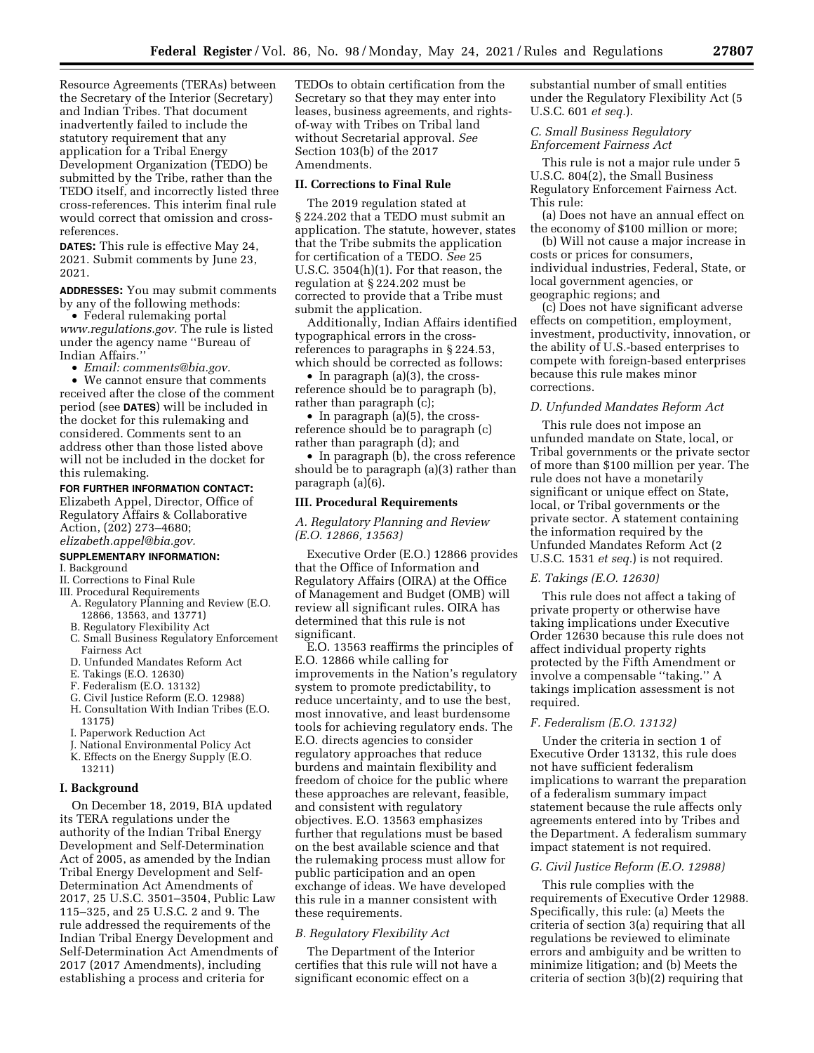Resource Agreements (TERAs) between the Secretary of the Interior (Secretary) and Indian Tribes. That document inadvertently failed to include the statutory requirement that any application for a Tribal Energy Development Organization (TEDO) be submitted by the Tribe, rather than the TEDO itself, and incorrectly listed three cross-references. This interim final rule would correct that omission and crossreferences.

**DATES:** This rule is effective May 24, 2021. Submit comments by June 23, 2021.

**ADDRESSES:** You may submit comments by any of the following methods:

• Federal rulemaking portal *[www.regulations.gov.](http://www.regulations.gov)* The rule is listed under the agency name ''Bureau of Indian Affairs.''

• *Email: [comments@bia.gov.](mailto:comments@bia.gov)* 

• We cannot ensure that comments received after the close of the comment period (see **DATES**) will be included in the docket for this rulemaking and considered. Comments sent to an address other than those listed above will not be included in the docket for this rulemaking.

### **FOR FURTHER INFORMATION CONTACT:**

Elizabeth Appel, Director, Office of Regulatory Affairs & Collaborative Action, (202) 273–4680; *[elizabeth.appel@bia.gov.](mailto:elizabeth.appel@bia.gov)* 

## **SUPPLEMENTARY INFORMATION:**

- I. Background
- II. Corrections to Final Rule
- III. Procedural Requirements
	- A. Regulatory Planning and Review (E.O. 12866, 13563, and 13771)
	- B. Regulatory Flexibility Act
	- C. Small Business Regulatory Enforcement Fairness Act
	- D. Unfunded Mandates Reform Act
	- E. Takings (E.O. 12630)
	- F. Federalism (E.O. 13132)
	- G. Civil Justice Reform (E.O. 12988)
	- H. Consultation With Indian Tribes (E.O. 13175)
	- I. Paperwork Reduction Act
	- J. National Environmental Policy Act
	- K. Effects on the Energy Supply (E.O.

# 13211)

### **I. Background**

On December 18, 2019, BIA updated its TERA regulations under the authority of the Indian Tribal Energy Development and Self-Determination Act of 2005, as amended by the Indian Tribal Energy Development and Self-Determination Act Amendments of 2017, 25 U.S.C. 3501–3504, Public Law 115–325, and 25 U.S.C. 2 and 9. The rule addressed the requirements of the Indian Tribal Energy Development and Self-Determination Act Amendments of 2017 (2017 Amendments), including establishing a process and criteria for

TEDOs to obtain certification from the Secretary so that they may enter into leases, business agreements, and rightsof-way with Tribes on Tribal land without Secretarial approval. *See*  Section 103(b) of the 2017 Amendments.

#### **II. Corrections to Final Rule**

The 2019 regulation stated at § 224.202 that a TEDO must submit an application. The statute, however, states that the Tribe submits the application for certification of a TEDO. *See* 25 U.S.C. 3504(h)(1). For that reason, the regulation at § 224.202 must be corrected to provide that a Tribe must submit the application.

Additionally, Indian Affairs identified typographical errors in the crossreferences to paragraphs in § 224.53, which should be corrected as follows:

• In paragraph (a)(3), the crossreference should be to paragraph (b), rather than paragraph (c);

• In paragraph (a)(5), the crossreference should be to paragraph (c) rather than paragraph (d); and

• In paragraph (b), the cross reference should be to paragraph (a)(3) rather than paragraph (a)(6).

#### **III. Procedural Requirements**

### *A. Regulatory Planning and Review (E.O. 12866, 13563)*

Executive Order (E.O.) 12866 provides that the Office of Information and Regulatory Affairs (OIRA) at the Office of Management and Budget (OMB) will review all significant rules. OIRA has determined that this rule is not significant.

E.O. 13563 reaffirms the principles of E.O. 12866 while calling for improvements in the Nation's regulatory system to promote predictability, to reduce uncertainty, and to use the best, most innovative, and least burdensome tools for achieving regulatory ends. The E.O. directs agencies to consider regulatory approaches that reduce burdens and maintain flexibility and freedom of choice for the public where these approaches are relevant, feasible, and consistent with regulatory objectives. E.O. 13563 emphasizes further that regulations must be based on the best available science and that the rulemaking process must allow for public participation and an open exchange of ideas. We have developed this rule in a manner consistent with these requirements.

## *B. Regulatory Flexibility Act*

The Department of the Interior certifies that this rule will not have a significant economic effect on a

substantial number of small entities under the Regulatory Flexibility Act (5 U.S.C. 601 *et seq.*).

## *C. Small Business Regulatory Enforcement Fairness Act*

This rule is not a major rule under 5 U.S.C. 804(2), the Small Business Regulatory Enforcement Fairness Act. This rule:

(a) Does not have an annual effect on the economy of \$100 million or more;

(b) Will not cause a major increase in costs or prices for consumers, individual industries, Federal, State, or local government agencies, or geographic regions; and

(c) Does not have significant adverse effects on competition, employment, investment, productivity, innovation, or the ability of U.S.-based enterprises to compete with foreign-based enterprises because this rule makes minor corrections.

## *D. Unfunded Mandates Reform Act*

This rule does not impose an unfunded mandate on State, local, or Tribal governments or the private sector of more than \$100 million per year. The rule does not have a monetarily significant or unique effect on State, local, or Tribal governments or the private sector. A statement containing the information required by the Unfunded Mandates Reform Act (2 U.S.C. 1531 *et seq.*) is not required.

#### *E. Takings (E.O. 12630)*

This rule does not affect a taking of private property or otherwise have taking implications under Executive Order 12630 because this rule does not affect individual property rights protected by the Fifth Amendment or involve a compensable ''taking.'' A takings implication assessment is not required.

## *F. Federalism (E.O. 13132)*

Under the criteria in section 1 of Executive Order 13132, this rule does not have sufficient federalism implications to warrant the preparation of a federalism summary impact statement because the rule affects only agreements entered into by Tribes and the Department. A federalism summary impact statement is not required.

#### *G. Civil Justice Reform (E.O. 12988)*

This rule complies with the requirements of Executive Order 12988. Specifically, this rule: (a) Meets the criteria of section 3(a) requiring that all regulations be reviewed to eliminate errors and ambiguity and be written to minimize litigation; and (b) Meets the criteria of section 3(b)(2) requiring that